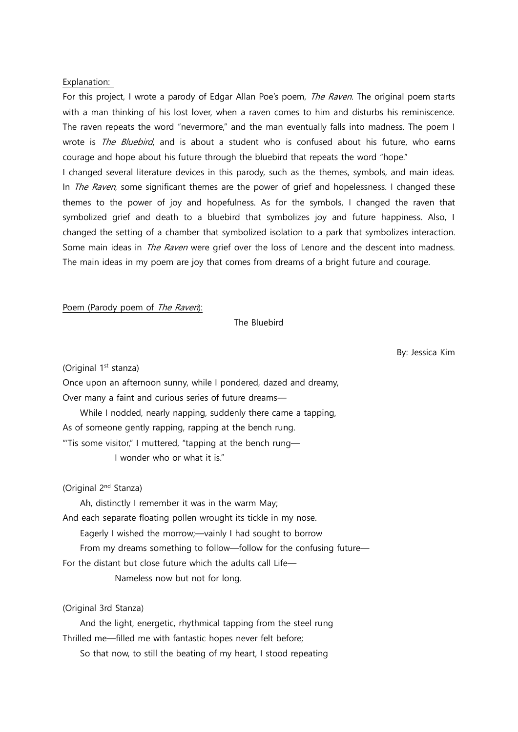#### Explanation:

For this project, I wrote a parody of Edgar Allan Poe's poem, *The Raven*. The original poem starts with a man thinking of his lost lover, when a raven comes to him and disturbs his reminiscence. The raven repeats the word "nevermore," and the man eventually falls into madness. The poem I wrote is The Bluebird, and is about a student who is confused about his future, who earns courage and hope about his future through the bluebird that repeats the word "hope."

I changed several literature devices in this parody, such as the themes, symbols, and main ideas. In *The Raven*, some significant themes are the power of grief and hopelessness. I changed these themes to the power of joy and hopefulness. As for the symbols, I changed the raven that symbolized grief and death to a bluebird that symbolizes joy and future happiness. Also, I changed the setting of a chamber that symbolized isolation to a park that symbolizes interaction. Some main ideas in *The Raven* were grief over the loss of Lenore and the descent into madness. The main ideas in my poem are joy that comes from dreams of a bright future and courage.

Poem (Parody poem of The Raven):

The Bluebird

By: Jessica Kim

(Original 1<sup>st</sup> stanza)

Once upon an afternoon sunny, while I pondered, dazed and dreamy, Over many a faint and curious series of future dreams— While I nodded, nearly napping, suddenly there came a tapping, As of someone gently rapping, rapping at the bench rung. "'Tis some visitor," I muttered, "tapping at the bench rung— I wonder who or what it is"

(Original 2<sup>nd</sup> Stanza)

Ah, distinctly I remember it was in the warm May;

And each separate floating pollen wrought its tickle in my nose.

Eagerly I wished the morrow;—vainly I had sought to borrow

From my dreams something to follow—follow for the confusing future—

For the distant but close future which the adults call Life—

Nameless now but not for long.

(Original 3rd Stanza)

 And the light, energetic, rhythmical tapping from the steel rung Thrilled me—filled me with fantastic hopes never felt before;

So that now, to still the beating of my heart, I stood repeating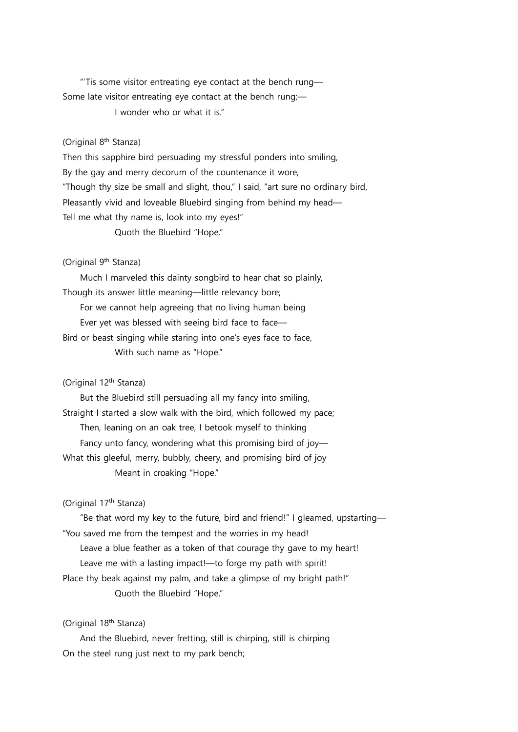"'Tis some visitor entreating eye contact at the bench rung— Some late visitor entreating eye contact at the bench rung;—

I wonder who or what it is."

# (Original 8<sup>th</sup> Stanza)

Then this sapphire bird persuading my stressful ponders into smiling, By the gay and merry decorum of the countenance it wore, "Though thy size be small and slight, thou," I said, "art sure no ordinary bird, Pleasantly vivid and loveable Bluebird singing from behind my head— Tell me what thy name is, look into my eyes!" Quoth the Bluebird "Hope."

#### (Original 9<sup>th</sup> Stanza)

 Much I marveled this dainty songbird to hear chat so plainly, Though its answer little meaning—little relevancy bore; For we cannot help agreeing that no living human being Ever yet was blessed with seeing bird face to face— Bird or beast singing while staring into one's eyes face to face, With such name as "Hope."

# (Original 12th Stanza)

 But the Bluebird still persuading all my fancy into smiling, Straight I started a slow walk with the bird, which followed my pace; Then, leaning on an oak tree, I betook myself to thinking Fancy unto fancy, wondering what this promising bird of joy-What this gleeful, merry, bubbly, cheery, and promising bird of joy Meant in croaking "Hope."

#### (Original 17th Stanza)

 "Be that word my key to the future, bird and friend!" I gleamed, upstarting— "You saved me from the tempest and the worries in my head!

Leave a blue feather as a token of that courage thy gave to my heart!

Leave me with a lasting impact!—to forge my path with spirit!

Place thy beak against my palm, and take a glimpse of my bright path!" Quoth the Bluebird "Hope."

# (Original 18th Stanza)

 And the Bluebird, never fretting, still is chirping, still is chirping On the steel rung just next to my park bench;